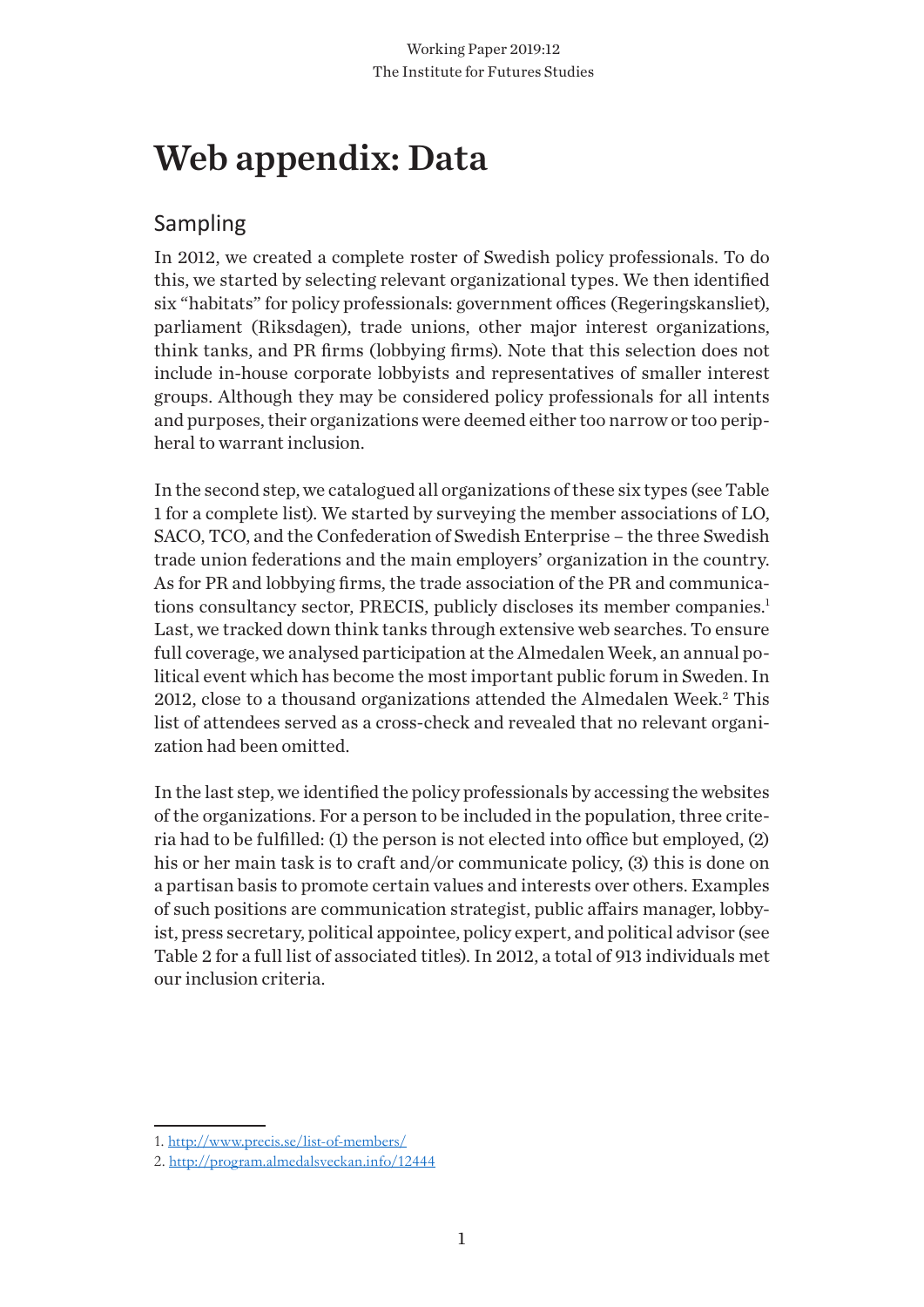# Web appendix: Data

## Sampling

In 2012, we created a complete roster of Swedish policy professionals. To do this, we started by selecting relevant organizational types. We then identified six "habitats" for policy professionals: government offices (Regeringskansliet), parliament (Riksdagen), trade unions, other major interest organizations, think tanks, and PR firms (lobbying firms). Note that this selection does not include in-house corporate lobbyists and representatives of smaller interest groups. Although they may be considered policy professionals for all intents and purposes, their organizations were deemed either too narrow or too peripheral to warrant inclusion.

In the second step, we catalogued all organizations of these six types (see Table 1 for a complete list). We started by surveying the member associations of LO, SACO, TCO, and the Confederation of Swedish Enterprise – the three Swedish trade union federations and the main employers' organization in the country. As for PR and lobbying firms, the trade association of the PR and communications consultancy sector, PRECIS, publicly discloses its member companies.<sup>1</sup> Last, we tracked down think tanks through extensive web searches. To ensure full coverage, we analysed participation at the Almedalen Week, an annual political event which has become the most important public forum in Sweden. In 2012, close to a thousand organizations attended the Almedalen Week.<sup>2</sup> This list of attendees served as a cross-check and revealed that no relevant organization had been omitted.

In the last step, we identified the policy professionals by accessing the websites of the organizations. For a person to be included in the population, three criteria had to be fulfilled: (1) the person is not elected into office but employed, (2) his or her main task is to craft and/or communicate policy, (3) this is done on a partisan basis to promote certain values and interests over others. Examples of such positions are communication strategist, public affairs manager, lobbyist, press secretary, political appointee, policy expert, and political advisor (see Table 2 for a full list of associated titles). In 2012, a total of 913 individuals met our inclusion criteria.

<sup>1.</sup> http://www.precis.se/list-of-members/

<sup>2.</sup> http://program.almedalsveckan.info/12444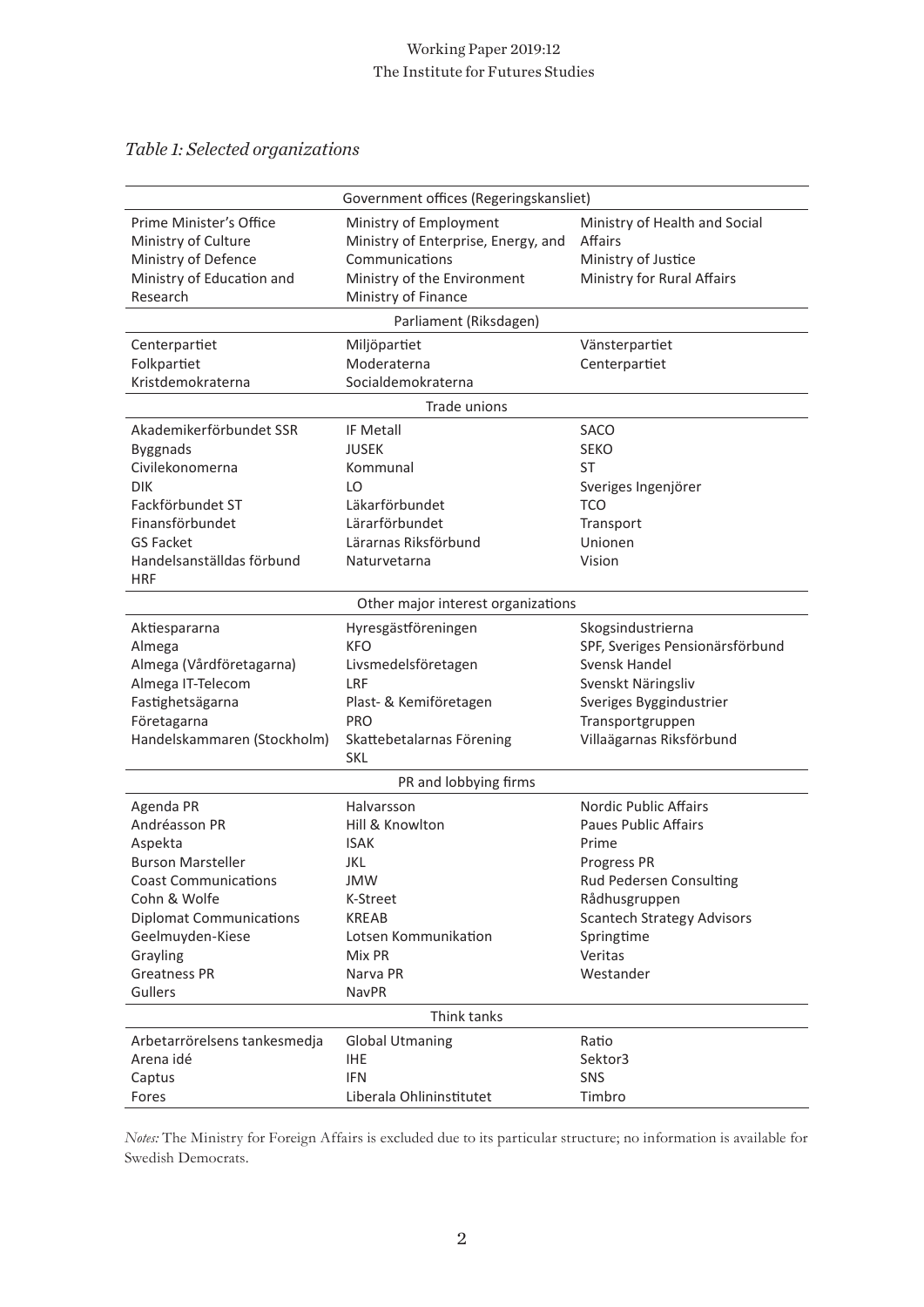#### Working Paper 2019:12 The Institute for Futures Studies

## *Table 1: Selected organizations*

|                                | Government offices (Regeringskansliet) |                                   |
|--------------------------------|----------------------------------------|-----------------------------------|
|                                |                                        |                                   |
| Prime Minister's Office        | Ministry of Employment                 | Ministry of Health and Social     |
| Ministry of Culture            | Ministry of Enterprise, Energy, and    | <b>Affairs</b>                    |
| Ministry of Defence            | Communications                         | Ministry of Justice               |
| Ministry of Education and      | Ministry of the Environment            | Ministry for Rural Affairs        |
| Research                       | Ministry of Finance                    |                                   |
|                                | Parliament (Riksdagen)                 |                                   |
| Centerpartiet                  | Miljöpartiet                           | Vänsterpartiet                    |
| Folkpartiet                    | Moderaterna                            | Centerpartiet                     |
| Kristdemokraterna              | Socialdemokraterna                     |                                   |
|                                | Trade unions                           |                                   |
| Akademikerförbundet SSR        | <b>IF Metall</b>                       | <b>SACO</b>                       |
| <b>Byggnads</b>                | <b>JUSEK</b>                           | <b>SEKO</b>                       |
| Civilekonomerna                | Kommunal                               | <b>ST</b>                         |
| <b>DIK</b>                     | LO                                     | Sveriges Ingenjörer               |
| Fackförbundet ST               | Läkarförbundet                         | <b>TCO</b>                        |
| Finansförbundet                | Lärarförbundet                         | Transport                         |
| <b>GS Facket</b>               | Lärarnas Riksförbund                   | Unionen                           |
| Handelsanställdas förbund      | Naturvetarna                           | Vision                            |
| <b>HRF</b>                     |                                        |                                   |
|                                | Other major interest organizations     |                                   |
| Aktiespararna                  | Hyresgästföreningen                    | Skogsindustrierna                 |
| Almega                         | <b>KFO</b>                             | SPF, Sveriges Pensionärsförbund   |
| Almega (Vårdföretagarna)       | Livsmedelsföretagen                    | Svensk Handel                     |
| Almega IT-Telecom              | <b>LRF</b>                             | Svenskt Näringsliv                |
| Fastighetsägarna               | Plast- & Kemiföretagen                 | Sveriges Byggindustrier           |
| Företagarna                    | <b>PRO</b>                             | Transportgruppen                  |
| Handelskammaren (Stockholm)    | Skattebetalarnas Förening              | Villaägarnas Riksförbund          |
|                                | <b>SKL</b>                             |                                   |
|                                | PR and lobbying firms                  |                                   |
| Agenda PR                      | Halvarsson                             | Nordic Public Affairs             |
| Andréasson PR                  | Hill & Knowlton                        | Paues Public Affairs              |
| Aspekta                        | <b>ISAK</b>                            | Prime                             |
| <b>Burson Marsteller</b>       | JKL                                    | Progress PR                       |
| <b>Coast Communications</b>    | JMW                                    | Rud Pedersen Consulting           |
| Cohn & Wolfe                   | K-Street                               | Rådhusgruppen                     |
| <b>Diplomat Communications</b> | <b>KREAB</b>                           | <b>Scantech Strategy Advisors</b> |
| Geelmuyden-Kiese               | Lotsen Kommunikation                   | Springtime                        |
| Grayling                       | Mix PR                                 | Veritas                           |
| <b>Greatness PR</b>            | Narva PR                               | Westander                         |
| Gullers                        | <b>NavPR</b>                           |                                   |
|                                | Think tanks                            |                                   |
| Arbetarrörelsens tankesmedja   | <b>Global Utmaning</b>                 | Ratio                             |
| Arena idé                      | <b>IHE</b>                             | Sektor3                           |
| Captus                         | <b>IFN</b>                             | <b>SNS</b>                        |
| Fores                          | Liberala Ohlininstitutet               | Timbro                            |
|                                |                                        |                                   |

*Notes:* The Ministry for Foreign Affairs is excluded due to its particular structure; no information is available for Swedish Democrats.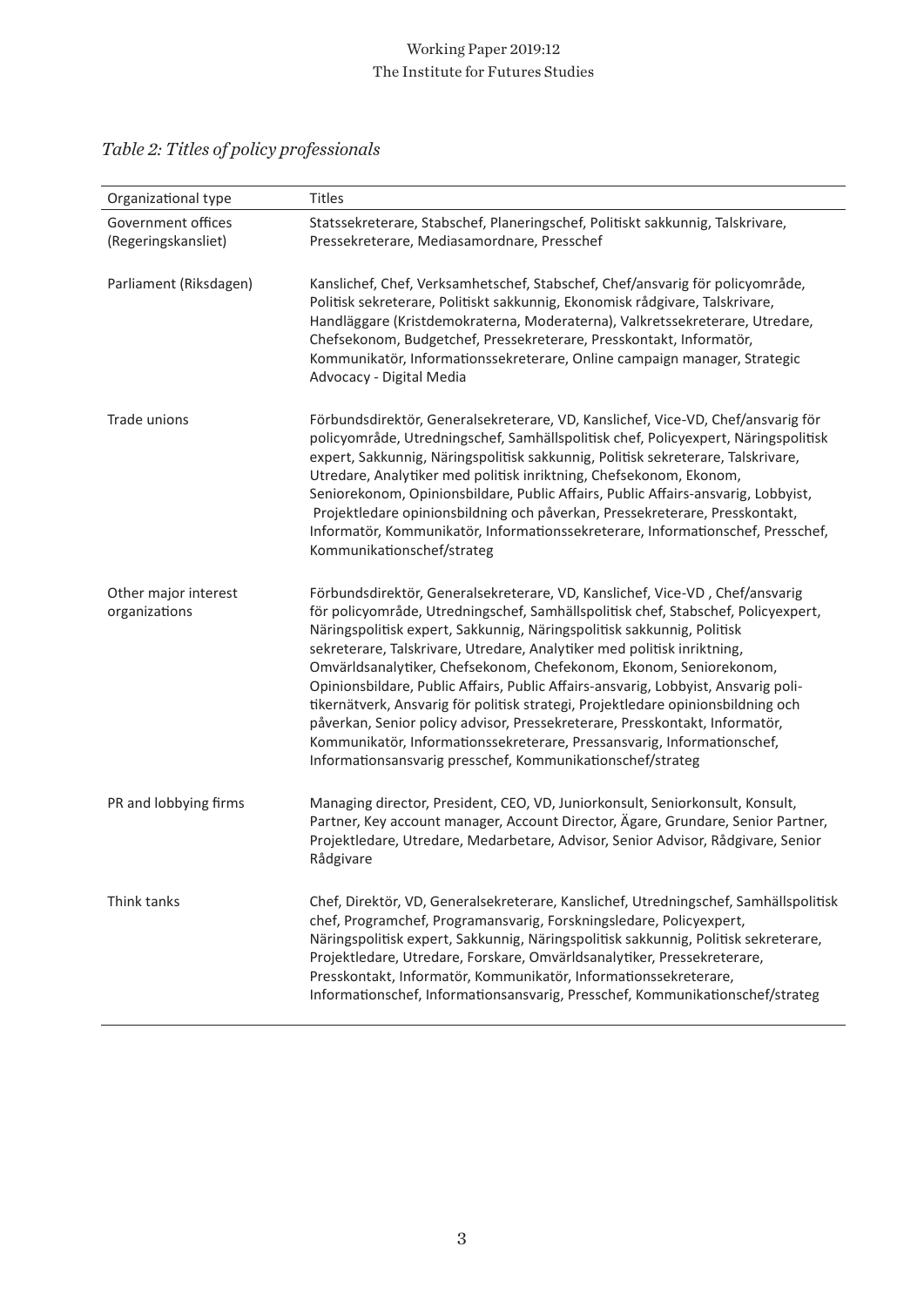## Working Paper 2019:12 The Institute for Futures Studies

| Organizational type                       | Titles                                                                                                                                                                                                                                                                                                                                                                                                                                                                                                                                                                                                                                                                                                                                                                                         |
|-------------------------------------------|------------------------------------------------------------------------------------------------------------------------------------------------------------------------------------------------------------------------------------------------------------------------------------------------------------------------------------------------------------------------------------------------------------------------------------------------------------------------------------------------------------------------------------------------------------------------------------------------------------------------------------------------------------------------------------------------------------------------------------------------------------------------------------------------|
| Government offices<br>(Regeringskansliet) | Statssekreterare, Stabschef, Planeringschef, Politiskt sakkunnig, Talskrivare,<br>Pressekreterare, Mediasamordnare, Presschef                                                                                                                                                                                                                                                                                                                                                                                                                                                                                                                                                                                                                                                                  |
| Parliament (Riksdagen)                    | Kanslichef, Chef, Verksamhetschef, Stabschef, Chef/ansvarig för policyområde,<br>Politisk sekreterare, Politiskt sakkunnig, Ekonomisk rådgivare, Talskrivare,<br>Handläggare (Kristdemokraterna, Moderaterna), Valkretssekreterare, Utredare,<br>Chefsekonom, Budgetchef, Pressekreterare, Presskontakt, Informatör,<br>Kommunikatör, Informationssekreterare, Online campaign manager, Strategic<br>Advocacy - Digital Media                                                                                                                                                                                                                                                                                                                                                                  |
| Trade unions                              | Förbundsdirektör, Generalsekreterare, VD, Kanslichef, Vice-VD, Chef/ansvarig för<br>policyområde, Utredningschef, Samhällspolitisk chef, Policyexpert, Näringspolitisk<br>expert, Sakkunnig, Näringspolitisk sakkunnig, Politisk sekreterare, Talskrivare,<br>Utredare, Analytiker med politisk inriktning, Chefsekonom, Ekonom,<br>Seniorekonom, Opinionsbildare, Public Affairs, Public Affairs-ansvarig, Lobbyist,<br>Projektledare opinionsbildning och påverkan, Pressekreterare, Presskontakt,<br>Informatör, Kommunikatör, Informationssekreterare, Informationschef, Presschef,<br>Kommunikationschef/strateg                                                                                                                                                                          |
| Other major interest<br>organizations     | Förbundsdirektör, Generalsekreterare, VD, Kanslichef, Vice-VD, Chef/ansvarig<br>för policyområde, Utredningschef, Samhällspolitisk chef, Stabschef, Policyexpert,<br>Näringspolitisk expert, Sakkunnig, Näringspolitisk sakkunnig, Politisk<br>sekreterare, Talskrivare, Utredare, Analytiker med politisk inriktning,<br>Omvärldsanalytiker, Chefsekonom, Chefekonom, Ekonom, Seniorekonom,<br>Opinionsbildare, Public Affairs, Public Affairs-ansvarig, Lobbyist, Ansvarig poli-<br>tikernätverk, Ansvarig för politisk strategi, Projektledare opinionsbildning och<br>påverkan, Senior policy advisor, Pressekreterare, Presskontakt, Informatör,<br>Kommunikatör, Informationssekreterare, Pressansvarig, Informationschef,<br>Informationsansvarig presschef, Kommunikationschef/strateg |
| PR and lobbying firms                     | Managing director, President, CEO, VD, Juniorkonsult, Seniorkonsult, Konsult,<br>Partner, Key account manager, Account Director, Ägare, Grundare, Senior Partner,<br>Projektledare, Utredare, Medarbetare, Advisor, Senior Advisor, Rådgivare, Senior<br>Rådgivare                                                                                                                                                                                                                                                                                                                                                                                                                                                                                                                             |
| Think tanks                               | Chef, Direktör, VD, Generalsekreterare, Kanslichef, Utredningschef, Samhällspolitisk<br>chef, Programchef, Programansvarig, Forskningsledare, Policyexpert,<br>Näringspolitisk expert, Sakkunnig, Näringspolitisk sakkunnig, Politisk sekreterare,<br>Projektledare, Utredare, Forskare, Omvärldsanalytiker, Pressekreterare,<br>Presskontakt, Informatör, Kommunikatör, Informationssekreterare,<br>Informationschef, Informationsansvarig, Presschef, Kommunikationschef/strateg                                                                                                                                                                                                                                                                                                             |

## *Table 2: Titles of policy professionals*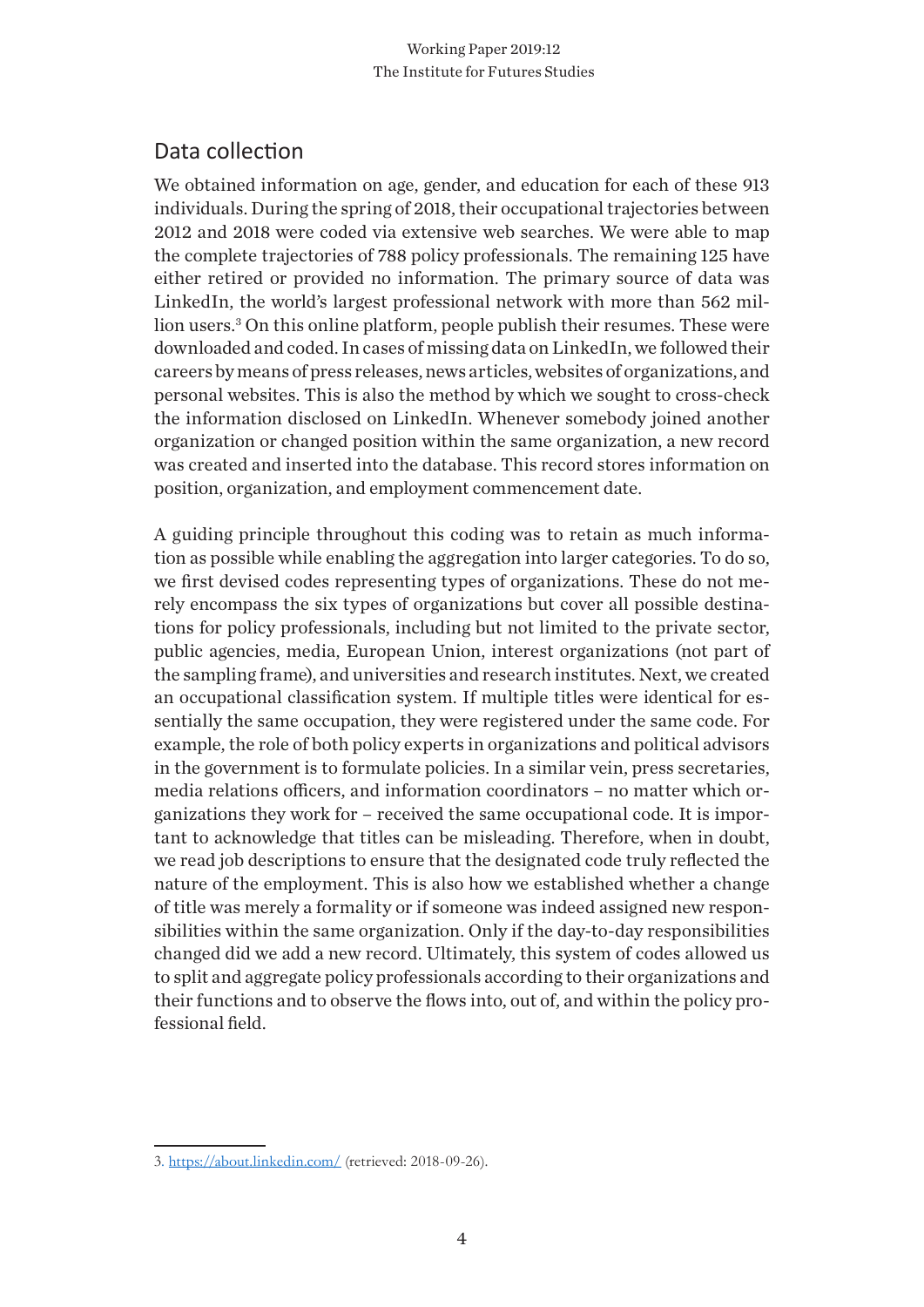## Data collection

We obtained information on age, gender, and education for each of these 913 individuals. During the spring of 2018, their occupational trajectories between 2012 and 2018 were coded via extensive web searches. We were able to map the complete trajectories of 788 policy professionals. The remaining 125 have either retired or provided no information. The primary source of data was LinkedIn, the world's largest professional network with more than 562 million users.3 On this online platform, people publish their resumes. These were downloaded and coded. In cases of missing data on LinkedIn, we followed their careers by means of press releases, news articles, websites of organizations, and personal websites. This is also the method by which we sought to cross-check the information disclosed on LinkedIn. Whenever somebody joined another organization or changed position within the same organization, a new record was created and inserted into the database. This record stores information on position, organization, and employment commencement date.

A guiding principle throughout this coding was to retain as much information as possible while enabling the aggregation into larger categories. To do so, we first devised codes representing types of organizations. These do not merely encompass the six types of organizations but cover all possible destinations for policy professionals, including but not limited to the private sector, public agencies, media, European Union, interest organizations (not part of the sampling frame), and universities and research institutes. Next, we created an occupational classification system. If multiple titles were identical for essentially the same occupation, they were registered under the same code. For example, the role of both policy experts in organizations and political advisors in the government is to formulate policies. In a similar vein, press secretaries, media relations officers, and information coordinators – no matter which organizations they work for – received the same occupational code. It is important to acknowledge that titles can be misleading. Therefore, when in doubt, we read job descriptions to ensure that the designated code truly reflected the nature of the employment. This is also how we established whether a change of title was merely a formality or if someone was indeed assigned new responsibilities within the same organization. Only if the day-to-day responsibilities changed did we add a new record. Ultimately, this system of codes allowed us to split and aggregate policy professionals according to their organizations and their functions and to observe the flows into, out of, and within the policy professional field.

<sup>3.</sup> https://about.linkedin.com/ (retrieved: 2018-09-26).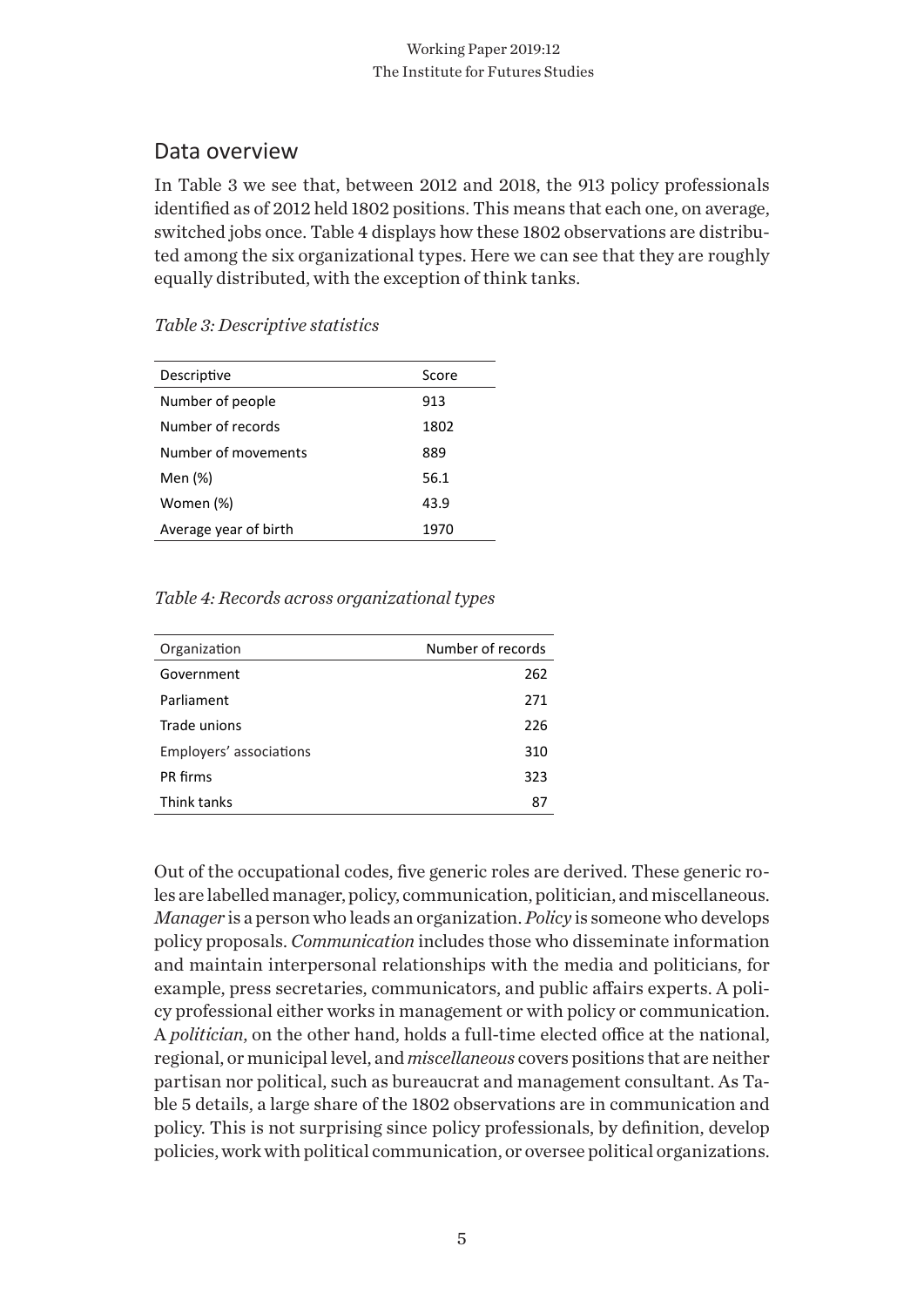## Data overview

In Table 3 we see that, between 2012 and 2018, the 913 policy professionals identified as of 2012 held 1802 positions. This means that each one, on average, switched jobs once. Table 4 displays how these 1802 observations are distributed among the six organizational types. Here we can see that they are roughly equally distributed, with the exception of think tanks.

| Descriptive           | Score |
|-----------------------|-------|
| Number of people      | 913   |
| Number of records     | 1802  |
| Number of movements   | 889   |
| Men (%)               | 56.1  |
| Women (%)             | 43.9  |
| Average year of birth | 1970  |

#### *Table 3: Descriptive statistics*

## *Table 4: Records across organizational types*

| Organization            | Number of records |
|-------------------------|-------------------|
| Government              | 262               |
| Parliament              | 271               |
| Trade unions            | 226               |
| Employers' associations | 310               |
| PR firms                | 323               |
| Think tanks             | 87                |

Out of the occupational codes, five generic roles are derived. These generic roles are labelled manager, policy, communication, politician, and miscellaneous. *Manager* is a person who leads an organization. *Policy* is someone who develops policy proposals. *Communication* includes those who disseminate information and maintain interpersonal relationships with the media and politicians, for example, press secretaries, communicators, and public affairs experts. A policy professional either works in management or with policy or communication. A *politician*, on the other hand, holds a full-time elected office at the national, regional, or municipal level, and *miscellaneous* covers positions that are neither partisan nor political, such as bureaucrat and management consultant. As Table 5 details, a large share of the 1802 observations are in communication and policy. This is not surprising since policy professionals, by definition, develop policies, work with political communication, or oversee political organizations.